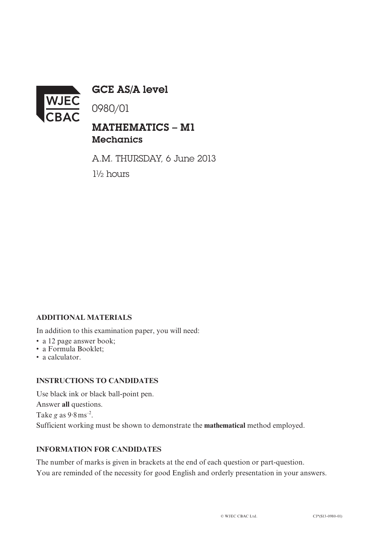

GCE AS/A level

0980/01

# MATHEMATICS – M1 **Mechanics**

A.M. THURSDAY, 6 June 2013 1½ hours

## **ADDITIONAL MATERIALS**

In addition to this examination paper, you will need:

- a 12 page answer book;
- a Formula Booklet;
- a calculator.

#### **INSTRUCTIONS TO CANDIDATES**

Use black ink or black ball-point pen. Answer **all** questions. Take *g* as 9.8ms–2. Sufficient working must be shown to demonstrate the **mathematical** method employed.

### **INFORMATION FOR CANDIDATES**

The number of marks is given in brackets at the end of each question or part-question. You are reminded of the necessity for good English and orderly presentation in your answers.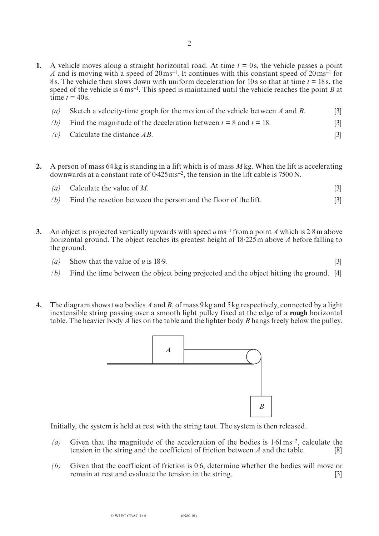- **1.** A vehicle moves along a straight horizontal road. At time  $t = 0$ s, the vehicle passes a point *A* and is moving with a speed of 20ms**–**1. It continues with this constant speed of 20ms**–**<sup>1</sup> for 8 s. The vehicle then slows down with uniform deceleration for 10 s so that at time *t* = 18 s, the speed of the vehicle is 6ms**–**1. This speed is maintained until the vehicle reaches the point *B* at time  $t = 40$  s.
	- *(a)* Sketch a velocity-time graph for the motion of the vehicle between *A* and *B*. [3]
	- *(b)* Find the magnitude of the deceleration between  $t = 8$  and  $t = 18$ . [3]
	- *(c)* Calculate the distance *AB*. [3]
- **2.** A person of mass 64kg is standing in a lift which is of mass *M*kg. When the lift is accelerating downwards at a constant rate of 0. 425ms**–**2, the tension in the lift cable is 7500N.

| ( <i>a</i> ) Calculate the value of M.                                |  |
|-----------------------------------------------------------------------|--|
| $(b)$ Find the reaction between the person and the floor of the lift. |  |

- **3.** An object is projected vertically upwards with speed *u*ms**–**<sup>1</sup> from a point *A* which is 2. 8m above horizontal ground. The object reaches its greatest height of 18. 225m above *A* before falling to the ground.
	- *(a)* Show that the value of *u* is 18.  $9.$  [3]
	- *(b)* Find the time between the object being projected and the object hitting the ground. [4]
- **4.** The diagram shows two bodies *A* and *B*, of mass 9kg and 5kg respectively, connected by a light inextensible string passing over a smooth light pulley fixed at the edge of a **rough** horizontal table. The heavier body *A* lies on the table and the lighter body *B* hangs freely below the pulley.



Initially, the system is held at rest with the string taut. The system is then released.

- *(a)* Given that the magnitude of the acceleration of the bodies is 1. 61ms**–**2, calculate the tension in the string and the coefficient of friction between *A* and the table. [8]
- *(b)* Given that the coefficient of friction is 0. 6, determine whether the bodies will move or remain at rest and evaluate the tension in the string. [3]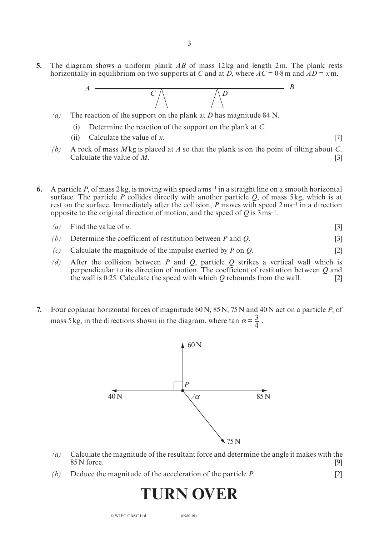**5.** The diagram shows a uniform plank *AB* of mass 12kg and length 2m. The plank rests horizontally in equilibrium on two supports at *C* and at *D*, where  $\overline{AC} = 0.8$  m and  $\overline{AD} = x$  m.



- *(a)* The reaction of the support on the plank at *D* has magnitude 84 N.
	- (i) Determine the reaction of the support on the plank at *C*.
	- (ii) Calculate the value of *x*. [7]

- *(b)* A rock of mass *M*kg is placed at *A* so that the plank is on the point of tilting about *C*. Calculate the value of  $\hat{M}$ . [3]
- **6.** A particle *P*, of mass 2kg, is moving with speed  $u$ ms<sup>-1</sup> in a straight line on a smooth horizontal surface. The particle *P* collides directly with another particle *Q*, of mass 5kg, which is at rest on the surface. Immediately after the collision, *P* moves with speed 2ms**–**1 in a direction opposite to the original direction of motion, and the speed of *Q* is 3ms**–**1.

$$
(a) \quad \text{Find the value of } u. \tag{3}
$$

- *(b)* Determine the coefficient of restitution between *P* and *Q*. [3]
- *(c)* Calculate the magnitude of the impulse exerted by *P* on *Q*. [2]
- *(d)* After the collision between *P* and *Q*, particle *Q* strikes a vertical wall which is perpendicular to its direction of motion. The coefficient of restitution between *Q* and the wall is 0.25. Calculate the speed with which  $Q$  rebounds from the wall. [2]
- **7.** Four coplanar horizontal forces of magnitude 60N, 85N, 75N and 40N act on a particle *P*, of mass 5 kg, in the directions shown in the diagram, where tan  $\alpha = \frac{3}{4}$ .



- *(a)* Calculate the magnitude of the resultant force and determine the angle it makes with the  $85\,\mathrm{N}$  force. [9]
- *(b)* Deduce the magnitude of the acceleration of the particle *P*. [2]

# **TURN OVER**